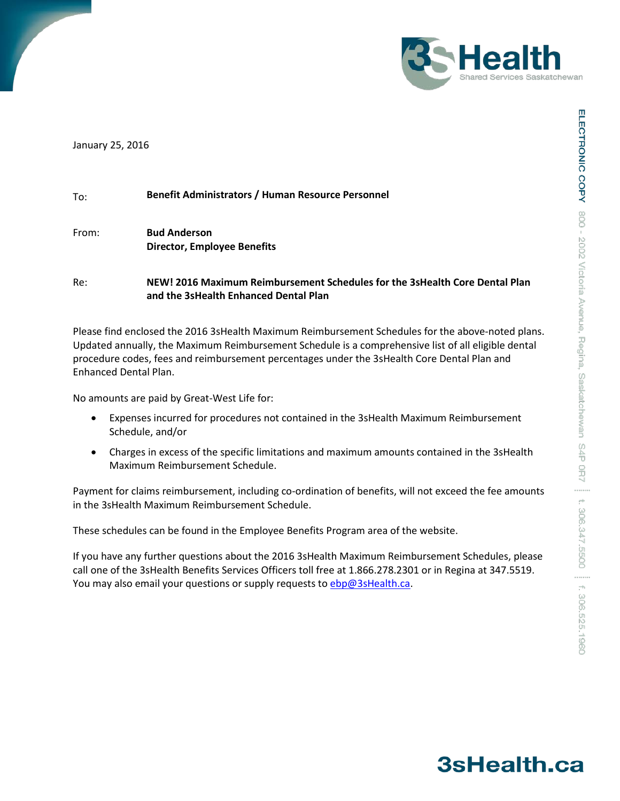

January 25, 2016

| <b>Benefit Administrators / Human Resource Personnel</b><br>To: |
|-----------------------------------------------------------------|
|-----------------------------------------------------------------|

From: **Bud Anderson Director, Employee Benefits**

Re: **NEW! 2016 Maximum Reimbursement Schedules for the 3sHealth Core Dental Plan and the 3sHealth Enhanced Dental Plan**

Please find enclosed the 2016 3sHealth Maximum Reimbursement Schedules for the above-noted plans. Updated annually, the Maximum Reimbursement Schedule is a comprehensive list of all eligible dental procedure codes, fees and reimbursement percentages under the 3sHealth Core Dental Plan and Enhanced Dental Plan.

No amounts are paid by Great-West Life for:

- Expenses incurred for procedures not contained in the 3sHealth Maximum Reimbursement Schedule, and/or
- Charges in excess of the specific limitations and maximum amounts contained in the 3sHealth Maximum Reimbursement Schedule.

Payment for claims reimbursement, including co-ordination of benefits, will not exceed the fee amounts in the 3sHealth Maximum Reimbursement Schedule.

These schedules can be found in the Employee Benefits Program area of the website.

If you have any further questions about the 2016 3sHealth Maximum Reimbursement Schedules, please call one of the 3sHealth Benefits Services Officers toll free at 1.866.278.2301 or in Regina at 347.5519. You may also email your questions or supply requests to [ebp@3sHealth.ca.](mailto:ebp@3sHealth.ca)

## 3sHealth.ca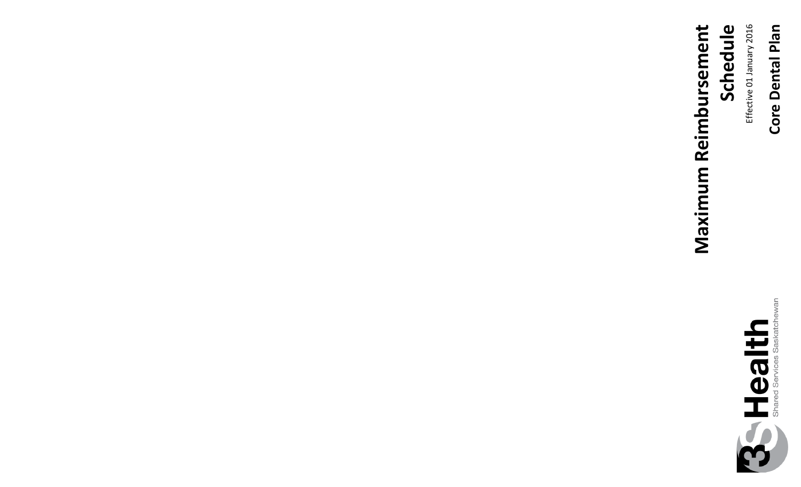## Core Dental Plan **Core Dental Plan**

Effective 01 January 201 6



**Maximum Reimbursement Maximum Reimbursement** Schedule **Schedule**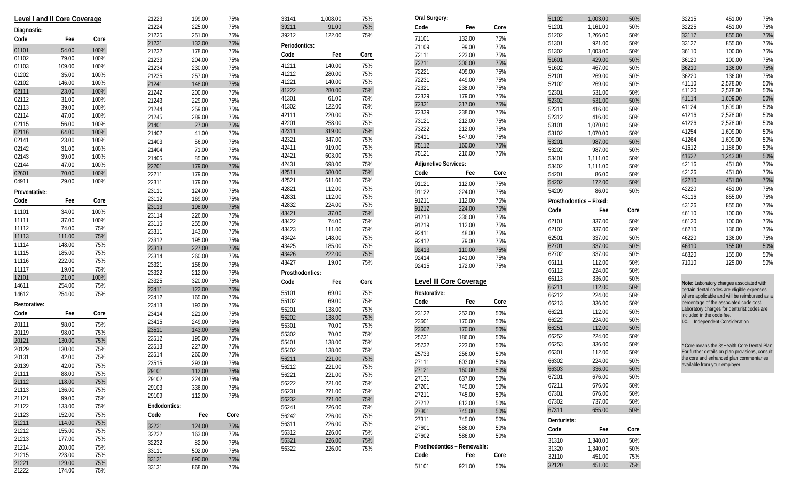|               | Level I and II Core Coverage |      | 21223 |
|---------------|------------------------------|------|-------|
| Diagnostic:   |                              |      | 21224 |
| Code          | Fee                          | Core | 21225 |
|               |                              |      | 21231 |
| 01101         | 54.00                        | 100% | 21232 |
| 01102         | 79.00                        | 100% | 21233 |
| 01103         | 109.00                       | 100% | 21234 |
| 01202         | 35.00                        | 100% | 21235 |
| 02102         | 146.00                       | 100% | 21241 |
| 02111         | 23.00                        | 100% | 21242 |
| 02112         | 31.00                        | 100% | 21243 |
| 02113         | 39.00                        | 100% | 21244 |
| 02114         | 47.00                        | 100% | 21245 |
| 02115         | 56.00                        | 100% | 21401 |
| 02116         | 64.00                        | 100% | 21402 |
| 02141         | 23.00                        | 100% | 21403 |
| 02142         | 31.00                        | 100% | 21404 |
| 02143         | 39.00                        | 100% | 21405 |
| 02144         | 47.00                        | 100% | 22201 |
| 02601         | 70.00                        | 100% | 22211 |
| 04911         | 29.00                        | 100% | 22311 |
| Preventative: |                              |      | 23111 |
| Code          | Fee                          | Core | 23112 |
| 11101         | 34.00                        | 100% | 23113 |
| 11111         | 37.00                        | 100% | 23114 |
| 11112         | 74.00                        | 75%  | 23115 |
| 11113         | 111.00                       | 75%  | 23311 |
| 11114         | 148.00                       | 75%  | 23312 |
| 11115         | 185.00                       | 75%  | 23313 |
| 11116         | 222.00                       | 75%  | 23314 |
| 11117         | 19.00                        | 75%  | 23321 |
| 12101         | 21.00                        | 100% | 23322 |
| 14611         | 254.00                       | 75%  | 23325 |
| 14612         | 254.00                       | 75%  | 23411 |
|               |                              |      | 23412 |
| Restorative:  |                              |      | 23413 |
| Code          | Fee                          | Core | 23414 |
| 20111         | 98.00                        | 75%  | 23415 |
| 20119         | 98.00                        | 75%  | 23511 |
| 20121         | 130.00                       | 75%  | 23512 |
| 20129         | 130.00                       | 75%  | 23513 |
| 20131         | 42.00                        | 75%  | 23514 |
| 20139         | 42.00                        | 75%  | 23515 |
| 21111         | 88.00                        | 75%  | 29101 |
| 21112         | 118.00                       | 75%  | 29102 |
| 21113         | 136.00                       | 75%  | 29103 |
| 21121         | 99.00                        | 75%  | 29109 |
| 21122         | 133.00                       | 75%  | Endod |
| 21123         | 152.00                       | 75%  | Code  |
| 21211         | 114.00                       | 75%  | 32221 |
| 21212         | 155.00                       | 75%  |       |
| 21213         | 177.00                       | 75%  | 32222 |
| 21214         | 200.00                       | 75%  | 32232 |
| 21215         | 223.00                       | 75%  | 33111 |
| 21221         | 129.00                       | 75%  | 33121 |
| 21222         | 174.00                       | 75%  | 33131 |

| 199.00 | 75%  |  |
|--------|------|--|
| 225.00 | 75%  |  |
| 251.00 | 75%  |  |
| 132.00 | 75%  |  |
| 178.00 | 75%  |  |
| 204.00 | 75%  |  |
| 230.00 | 75%  |  |
| 257.00 | 75%  |  |
| 148.00 | 75%  |  |
| 200.00 | 75%  |  |
| 229.00 | 75%  |  |
| 259.00 | 75%  |  |
| 289.00 | 75%  |  |
| 27.00  | 75%  |  |
| 41.00  | 75%  |  |
| 56.00  | 75%  |  |
| 71.00  | 75%  |  |
| 85.00  | 75%  |  |
| 179.00 | 75%  |  |
| 179.00 | 75%  |  |
| 179.00 | 75%  |  |
| 124.00 | 75%  |  |
| 169.00 | 75%  |  |
| 198.00 | 75%  |  |
| 226.00 | 75%  |  |
| 255.00 | 75%  |  |
| 143.00 | 75%  |  |
| 195.00 | 75%  |  |
| 227.00 | 75%  |  |
| 260.00 | 75%  |  |
| 156.00 | 75%  |  |
| 212.00 | 75%  |  |
| 320.00 | 75%  |  |
| 122.00 | 75%  |  |
| 165.00 | 75%  |  |
| 193.00 | 75%  |  |
| 221.00 | 75%  |  |
| 249.00 | 75%  |  |
| 143.00 | 75%  |  |
| 195.00 | 75%  |  |
| 227.00 | 75%  |  |
| 260.00 | 75%  |  |
| 293.00 | 75%  |  |
| 112.00 | 75%  |  |
| 224.00 | 75%  |  |
| 336.00 | 75%  |  |
| 112.00 | 75%  |  |
|        |      |  |
| Fee    | Core |  |
|        |      |  |
| 124.00 | 75%  |  |
| 163.00 | 75%  |  |
| 82.00  | 75%  |  |
| 502.00 | 75%  |  |
| 690.00 | 75%  |  |
| 868.00 | 75%  |  |

**Endodontics: Code Fee Core**

| 33141           | 1,008.00 | 75%  |
|-----------------|----------|------|
| 39211           | 91.00    | 75%  |
| 39212           | 122.00   | 75%  |
| Periodontics:   |          |      |
| Code            | Fee      | Core |
| 41211           | 140.00   | 75%  |
| 41212           | 280.00   | 75%  |
| 41221           | 140.00   | 75%  |
| 41222           | 280.00   | 75%  |
| 41301           | 61.00    | 75%  |
| 41302           | 122.00   | 75%  |
| 42111           | 220.00   | 75%  |
| 42201           | 258.00   | 75%  |
| 42311           | 319.00   | 75%  |
| 42321           | 347.00   | 75%  |
| 42411           | 919.00   | 75%  |
| 42421           | 603.00   | 75%  |
| 42431           | 698.00   | 75%  |
| 42511           | 580.00   | 75%  |
| 42521           | 611.00   | 75%  |
| 42821           | 112.00   | 75%  |
| 42831           | 112.00   | 75%  |
| 42832           | 224.00   | 75%  |
| 43421           | 37.00    | 75%  |
| 43422           | 74.00    | 75%  |
| 43423           | 111.00   | 75%  |
| 43424           | 148.00   | 75%  |
| 43425           | 185.00   | 75%  |
| 43426           | 222.00   | 75%  |
| 43427           | 19.00    | 75%  |
| Prosthodontics: |          |      |
| Code            | Fee      | Core |
| 55101           | 69.00    | 75%  |
| 55102           | 69.00    | 75%  |
| 55201           | 138.00   | 75%  |
| 55202           | 138.00   | 75%  |
| 55301           | 70.00    | 75%  |
| 55302           | 70.00    | 75%  |
| 55401           | 138.00   | 75%  |
| 55402           | 138.00   | 75%  |
| 56211           | 221.00   | 75%  |
| 56212           | 221.00   | 75%  |
|                 | 221.00   | 75%  |
| 56221           |          |      |
| 56222           | 221.00   | 75%  |
| 56231           | 271.00   | 75%  |
| 56232           | 271.00   | 75%  |
| 56241           | 226.00   | 75%  |
| 56242           | 226.00   | 75%  |
| 56311           | 226.00   | 75%  |
| 56312           | 226.00   | 75%  |
| 56321           | 226.00   | 75%  |
| 56322           | 226.00   | 75%  |

| Oral Surgery:                  |        |      |
|--------------------------------|--------|------|
| Code                           | Fee    | Core |
| 71101                          | 132.00 | 75%  |
| 71109                          | 99.00  | 75%  |
| 72111                          | 223.00 | 75%  |
| 72211                          | 306.00 | 75%  |
| 72221                          | 409.00 | 75%  |
| 72231                          | 449.00 | 75%  |
| 72321                          | 238.00 | 75%  |
| 72329                          | 179.00 | 75%  |
| 72331                          | 317.00 | 75%  |
| 72339                          | 238.00 | 75%  |
| 73121                          | 212.00 | 75%  |
| 73222                          | 212.00 | 75%  |
| 73411                          | 547.00 | 75%  |
| 75112                          | 160.00 | 75%  |
| 75121                          | 216.00 | 75%  |
| <b>Adjunctive Services:</b>    |        |      |
| Code                           | Fee    | Core |
| 91121                          | 112.00 | 75%  |
| 91122                          | 224.00 | 75%  |
| 91211                          | 112.00 | 75%  |
| 91212                          | 224.00 | 75%  |
| 91213                          | 336.00 | 75%  |
| 91219                          | 112.00 | 75%  |
| 92411                          | 48.00  | 75%  |
| 92412                          | 79.00  | 75%  |
| 92413                          | 110.00 | 75%  |
| 92414                          | 141.00 | 75%  |
| 92415                          | 172.00 | 75%  |
| <b>Level III Core Coverage</b> |        |      |
| Restorative:                   |        |      |
| Code                           | Fee    | Core |
| 23122                          | 252.00 | 50%  |
| 23601                          | 170.00 | 50%  |
| 23602                          | 170.00 | 50%  |
| 25731                          | 186.00 | 50%  |
| 25732                          | 223.00 | 50%  |
| 25733                          | 256.00 | 50%  |
| 27111                          | 603.00 | 50%  |
| 27121                          | 160.00 | 50%  |
| 27131                          | 637.00 | 50%  |
| 27201                          | 745.00 | 50%  |
| 27211                          | 745.00 | 50%  |
| 27212                          | 812.00 | 50%  |
| 27301                          | 745.00 | 50%  |
| 27311                          | 745.00 | 50%  |
| 27601                          | 586.00 | 50%  |
| 27602                          | 586.00 | 50%  |
| Prosthodontics - Removable:    |        |      |
| Code                           | Fee    | Core |
| 51101                          | 921.00 | 50%  |

| 51102          | 1,003.00                | 50%        |
|----------------|-------------------------|------------|
| 51201          | 1,161.00                | 50%        |
| 51202          | 1,266.00                | 50%        |
| 51301          | 921.00                  | 50%        |
| 51302          | 1,003.00                | 50%        |
| 51601          | 429.00                  | 50%        |
| 51602          | 467.00                  | 50%        |
| 52101          | 269.00                  | 50%        |
| 52102          | 269.00                  | 50%        |
| 52301          | 531.00                  | 50%        |
| 52302          | 531.00                  | 50%        |
| 52311          | 416.00                  | 50%        |
| 52312          | 416.00                  | 50%        |
| 53101          | 1.070.00                | 50%        |
| 53102          | 1,070.00                | 50%        |
| 53201          | 987.00                  | 50%        |
| 53202          | 987.00                  | 50%        |
| 53401          | 1,111.00                | 50%        |
| 53402          | 1,111.00                | 50%        |
| 54201          | 86.00                   | 50%        |
| 54202          | 172.00                  | 50%        |
| 54209          | 86.00                   | 50%        |
|                | Prosthodontics - Fixed: |            |
| Code           | Fee                     | Core       |
| 62101          | 337.00                  | 50%        |
| 62102          | 337.00                  | 50%        |
| 62501          | 337.00                  | 50%        |
| 62701          | 337.00                  | 50%        |
| 62702          | 337.00                  | 50%        |
| 66111          | 112.00                  | 50%        |
| 66112          | 224.00                  | 50%        |
| 66113          | 336.00                  | 50%        |
| 66211          | 112.00                  | 50%        |
| 66212          | 224.00                  | 50%        |
| 66213          | 336.00                  | 50%        |
| 66221          | 112.00                  | 50%        |
| 66222          | 224.00                  | 50%        |
| 66251          | 112.00                  | 50%        |
| 66252          | 224.00                  | 50%        |
| 66253          | 336.00                  | 50%        |
| 66301          | 112.00                  | 50%        |
| 66302          | 224.00                  | 50%        |
| 66303          |                         |            |
|                |                         |            |
|                | 336.00                  | 50%        |
| 67201          | 676.00                  | 50%        |
| 67211          | 676.00                  | 50%        |
| 67301          | 676.00                  | 50%        |
| 67302          | 737.00                  | 50%        |
| 67311          | 655.00                  | 50%        |
| Denturists:    |                         |            |
| Code           | Fee                     | Core       |
| 31310          | 1,340.00                | 50%        |
| 31320          | 1,340.00                | 50%        |
| 32110<br>32120 | 451.00<br>451.00        | 75%<br>75% |

| 32215 | 451.00   | 75% |
|-------|----------|-----|
| 32225 | 451.00   | 75% |
| 33117 | 855.00   | 75% |
| 33127 | 855.00   | 75% |
| 36110 | 100.00   | 75% |
| 36120 | 100.00   | 75% |
| 36210 | 136.00   | 75% |
| 36220 | 136.00   | 75% |
| 41110 | 2.578.00 | 50% |
| 41120 | 2,578.00 | 50% |
| 41114 | 1,609.00 | 50% |
| 41124 | 1,609.00 | 50% |
| 41216 | 2,578.00 | 50% |
| 41226 | 2.578.00 | 50% |
| 41254 | 1.609.00 | 50% |
| 41264 | 1.609.00 | 50% |
| 41612 | 1,186.00 | 50% |
| 41622 | 1,243.00 | 50% |
| 42116 | 451.00   | 75% |
| 42126 | 451.00   | 75% |
| 42210 | 451.00   | 75% |
| 42220 | 451.00   | 75% |
| 43116 | 855.00   | 75% |
| 43126 | 855.00   | 75% |
| 46110 | 100.00   | 75% |
| 46120 | 100.00   | 75% |
| 46210 | 136.00   | 75% |
| 46220 | 136.00   | 75% |
| 46310 | 155.00   | 50% |
| 46320 | 155.00   | 50% |
| 71010 | 129.00   | 50% |

**Note:** Laboratory charges associated with certain dental codes are eligible expenses where applicable and will be reimbursed as a percentage of the associated code cost. Laboratory charges for denturist codes are included in the code fee. **I.C.**  – Independent Consideration

\* Core means the 3sHealth Core Dental Plan For further details on plan provisions, consult the core and enhanced plan commentaries available from your employer.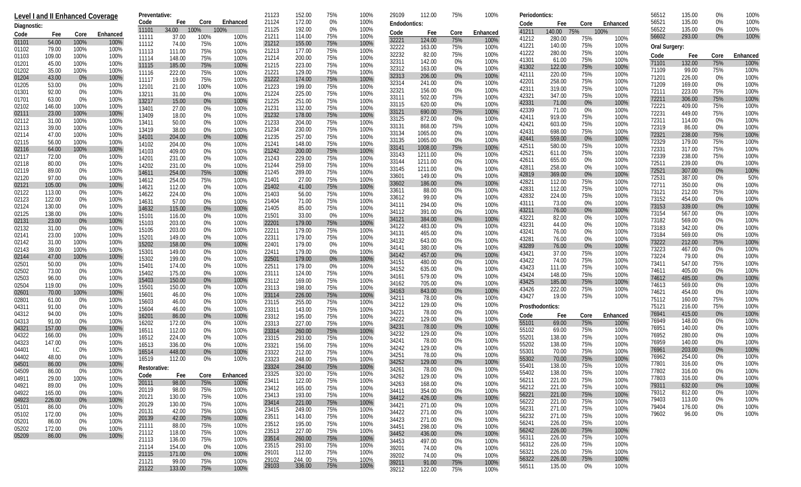|                | Level I and II Enhanced Coverage |              |              | Preventative:  |                  |              |               | 21123          | 152.00           | 75%        | 100%         | 29109          | 112.00             | 75%        | 100%         | Periodontics:   |                  |                |              | 56512          | 135.00           | 0%             | 100%         |
|----------------|----------------------------------|--------------|--------------|----------------|------------------|--------------|---------------|----------------|------------------|------------|--------------|----------------|--------------------|------------|--------------|-----------------|------------------|----------------|--------------|----------------|------------------|----------------|--------------|
| Diagnostic:    |                                  |              |              | Code           | Fee              |              | Core Enhanced | 21124          | 172.00           | 0%         | 100%         | Endodontics:   |                    |            |              | Code            | Fee              | Core           | Enhanced     | 56521          | 135.00<br>135.00 | 0%             | 100%         |
| Code           | Fee                              | Core         | Enhanced     | 11101<br>11111 | 34.00<br>37.00   | 100%<br>100% | 100%<br>100%  | 21125<br>21211 | 192.00<br>114.00 | 0%<br>75%  | 100%<br>100% | Code           | Fee                | Core       | Enhanced     | 41211           | 140.00 75%       |                | 100%         | 56522<br>56602 | 293.00           | 0%<br>0%       | 100%<br>100% |
| 01101          | 54.00                            | 100%         | 100%         | 11112          | 74.00            | 75%          | 100%          | 21212          | 155.00           | 75%        | 100%         | 32221          | 124.00             | 75%        | 100%         | 41212<br>41221  | 280.00<br>140.00 | 75%<br>75%     | 100%<br>100% |                |                  |                |              |
| 01102          | 79.00                            | 100%         | 100%         | 11113          | 111.00           | 75%          | 100%          | 21213          | 177.00           | 75%        | 100%         | 32222<br>32232 | 163.00<br>82.00    | 75%<br>75% | 100%<br>100% | 41222           | 280.00           | 75%            | 100%         | Oral Surgery:  |                  |                |              |
| 01103          | 109.00                           | 100%         | 100%         | 11114          | 148.00           | 75%          | 100%          | 21214          | 200.00           | 75%        | 100%         | 32311          | 142.00             | 0%         | 100%         | 41301           | 61.00            | 75%            | 100%         | Code<br>71101  | Fee              | Core<br>75%    | Enhanced     |
| 01201<br>01202 | 45.00<br>35.00                   | 100%<br>100% | 100%<br>100% | 11115          | 185.00           | 75%          | 100%          | 21215          | 223.00           | 75%        | 100%         | 32312          | 163.00             | 0%         | 100%         | 41302           | 122.00           | 75%            | 100%         | 71109          | 132.00<br>99.00  | 75%            | 100%<br>100% |
| 01204          | 43.00                            | 0%           | 100%         | 11116          | 222.00           | 75%          | 100%          | 21221<br>21222 | 129.00<br>174.00 | 75%<br>75% | 100%<br>100% | 32313          | 206.00             | $0\%$      | 100%         | 42111           | 220.00           | 75%            | 100%         | 71201          | 226.00           | 0%             | 100%         |
| 01205          | 53.00                            | 0%           | 100%         | 11117<br>12101 | 19.00<br>21.00   | 75%<br>100%  | 100%<br>100%  | 21223          | 199.00           | 75%        | 100%         | 32314          | 241.00             | 0%         | 100%         | 42201           | 258.00           | 75%            | 100%         | 71209          | 169.00           | 0%             | 100%         |
| 01301          | 92.00                            | 0%           | 100%         | 13211          | 31.00            | 0%           | 100%          | 21224          | 225.00           | 75%        | 100%         | 32321          | 156.00             | 0%         | 100%         | 42311<br>42321  | 319.00<br>347.00 | 75%<br>75%     | 100%<br>100% | 72111          | 223.00           | 75%            | 100%         |
| 01701          | 63.00                            | 0%           | 100%         | 13217          | 15.00            | 0%           | 100%          | 21225          | 251.00           | 75%        | 100%         | 33111          | 502.00             | 75%        | 100%         | 42331           | 71.00            | $0\%$          | 100%         | 72211          | 306.00           | 75%            | 100%         |
| 02102          | 146.00                           | 100%         | 100%         | 13401          | 27.00            | 0%           | 100%          | 21231          | 132.00           | 75%        | 100%         | 33115<br>33121 | 620.00<br>690.00   | 0%<br>75%  | 100%<br>100% | 42339           | 71.00            | $0\%$          | 100%         | 72221          | 409.00           | 75%            | 100%         |
| 02111<br>02112 | 23.00<br>31.00                   | 100%<br>100% | 100%<br>100% | 13409          | 18.00            | 0%           | 100%          | 21232          | 178.00           | 75%        | 100%         | 33125          | 872.00             | $0\%$      | 100%         | 42411           | 919.00           | 75%            | 100%         | 72231<br>72311 | 449.00<br>114.00 | 75%<br>0%      | 100%<br>100% |
| 02113          | 39.00                            | 100%         | 100%         | 13411          | 50.00            | 0%           | 100%          | 21233<br>21234 | 204.00<br>230.00 | 75%<br>75% | 100%<br>100% | 33131          | 868.00             | 75%        | 100%         | 42421           | 603.00           | 75%            | 100%         | 72319          | 86.00            | 0%             | 100%         |
| 02114          | 47.00                            | 100%         | 100%         | 13419<br>14101 | 38.00<br>204.00  | 0%<br>0%     | 100%<br>100%  | 21235          | 257.00           | 75%        | 100%         | 33134          | 1065.00            | 0%         | 100%         | 42431           | 698.00           | 75%            | 100%         | 72321          | 238.00           | 75%            | 100%         |
| 02115          | 56.00                            | 100%         | 100%         | 14102          | 204.00           | 0%           | 100%          | 21241          | 148.00           | 75%        | 100%         | 33135          | 1065.00            | 0%         | 100%         | 42441<br>42511  | 559.00<br>580.00 | 0%<br>75%      | 100%<br>100% | 72329          | 179.00           | 75%            | 100%         |
| 02116          | 64.00                            | 100%         | 100%         | 14103          | 409.00           | 0%           | 100%          | 21242          | 200.00           | 75%        | 100%         | 33141<br>33143 | 1008.00<br>1211.00 | 75%        | 100%<br>100% | 42521           | 611.00           | 75%            | 100%         | 72331          | 317.00           | 75%            | 100%         |
| 02117          | 72.00                            | 0%           | 100%         | 14201          | 231.00           | 0%           | 100%          | 21243          | 229.00           | 75%        | 100%         | 33144          | 1211.00            | 0%<br>0%   | 100%         | 42611           | 655.00           | $0\%$          | 100%         | 72339<br>72511 | 238.00           | 75%            | 100%         |
| 02118<br>02119 | 80.00<br>89.00                   | 0%<br>0%     | 100%<br>100% | 14202          | 231.00           | 0%           | 100%          | 21244          | 259.00           | 75%        | 100%         | 33145          | 1211.00            | 0%         | 100%         | 42811           | 258.00           | $0\%$          | 100%         | 72521          | 239.00<br>307.00 | 0%<br>$0\%$    | 100%<br>100% |
| 02120          | 97.00                            | 0%           | 100%         | 14611          | 254.00           | 75%          | 100%          | 21245<br>21401 | 289.00<br>27.00  | 75%<br>75% | 100%<br>100% | 33601          | 149.00             | 0%         | 100%         | 42819           | 369.00           | $0\%$          | 100%         | 72531          | 387.00           | 0%             | 50%          |
| 02121          | 105.00                           | 0%           | 100%         | 14612<br>14621 | 254.00<br>112.00 | 75%<br>0%    | 100%<br>100%  | 21402          | 41.00            | 75%        | 100%         | 33602          | 186.00             | 0%         | 100%         | 42821           | 112.00           | 75%            | 100%         | 72711          | 350.00           | 0%             | 100%         |
| 02122          | 113.00                           | 0%           | 100%         | 14622          | 224.00           | 0%           | 100%          | 21403          | 56.00            | 75%        | 100%         | 33611          | 88.00              | 0%         | 100%         | 42831<br>42832  | 112.00<br>224.00 | 75%<br>75%     | 100%<br>100% | 73121          | 212.00           | 75%            | 100%         |
| 02123          | 122.00                           | 0%           | 100%         | 14631          | 57.00            | 0%           | 100%          | 21404          | 71.00            | 75%        | 100%         | 33612          | 99.00              | 0%         | 100%         | 43111           | 73.00            | 0%             | 100%         | 73152          | 454.00           | 0%             | 100%         |
| 02124          | 130.00                           | 0%           | 100%         | 14632          | 115.00           | 0%           | 100%          | 21405          | 85.00            | 75%        | 100%         | 34111<br>34112 | 294.00<br>391.00   | 0%<br>0%   | 100%<br>100% | 43211           | 76.00            | $0\%$          | 100%         | 73153          | 339.00           | 0%             | 100%         |
| 02125<br>02131 | 138.00<br>23.00                  | 0%<br>0%     | 100%<br>100% | 15101          | 116.00           | 0%           | 100%          | 21501          | 33.00            | 0%         | 100%         | 34121          | 384.00             | $0\%$      | 100%         | 43221           | 82.00            | 0%             | 100%         | 73154<br>73182 | 567.00<br>569.00 | $0\%$<br>0%    | 100%<br>100% |
| 02132          | 31.00                            | 0%           | 100%         | 15103          | 203.00           | 0%           | 100%          | 22201          | 179.00           | 75%        | 100%         | 34122          | 483.00             | 0%         | 100%         | 43231           | 44.00            | 0%             | 100%         | 73183          | 342.00           | 0%             | 100%         |
| 02141          | 23.00                            | 100%         | 100%         | 15105<br>15201 | 203.00<br>149.00 | 0%<br>0%     | 100%<br>100%  | 22211<br>22311 | 179.00<br>179.00 | 75%<br>75% | 100%<br>100% | 34131          | 465.00             | 0%         | 100%         | 43241           | 76.00            | 0%             | 100%         | 73184          | 569.00           | 0%             | 100%         |
| 02142          | 31.00                            | 100%         | 100%         | 15202          | 158.00           | 0%           | 100%          | 22401          | 179.00           | 0%         | 100%         | 34132          | 643.00             | 0%         | 100%         | 43281<br>43289  | 76.00            | $0\%$<br>$0\%$ | 100%<br>100% | 73222          | 212.00           | 75%            | 100%         |
| 02143          | 39.00                            | 100%         | 100%         | 15301          | 149.00           | 0%           | 100%          | 22411          | 179.00           | 0%         | 100%         | 34141          | 380.00             | 0%         | 100%         | 43421           | 76.00<br>37.00   | 75%            | 100%         | 73223          | 467.00           | 0%             | 100%         |
| 02144          | 47.00                            | 100%         | 100%         | 15302          | 199.00           | 0%           | 100%          | 22501          | 179.00           | 0%         | 100%         | 34142<br>34151 | 457.00<br>480.00   | 0%<br>0%   | 100%<br>100% | 43422           | 74.00            | 75%            | 100%         | 73224          | 79.00            | 0%             | 100%         |
| 02501<br>02502 | 50.00<br>73.00                   | 0%<br>0%     | 100%<br>100% | 15401          | 174.00           | 0%           | 100%          | 22511          | 179.00           | 0%         | 100%         | 34152          | 635.00             | 0%         | 100%         | 43423           | 111.00           | 75%            | 100%         | 73411<br>74611 | 547.00<br>405.00 | 75%<br>0%      | 100%<br>100% |
| 02503          | 96.00                            | 0%           | 100%         | 15402          | 175.00           | 0%           | 100%          | 23111          | 124.00           | 75%        | 100%         | 34161          | 579.00             | 0%         | 100%         | 43424           | 148.00           | 75%            | 100%         | 74612          | 485.00           | 0%             | 100%         |
| 02504          | 119.00                           | 0%           | 100%         | 15403<br>15501 | 150.00<br>150.00 | 0%<br>0%     | 100%<br>100%  | 23112<br>23113 | 169.00<br>198.00 | 75%<br>75% | 100%<br>100% | 34162          | 705.00             | 0%         | 100%         | 43425           | 185.00           | 75%            | 100%         | 74613          | 569.00           | 0%             | 100%         |
| 02601          | 70.00                            | 100%         | 100%         | 15601          | 46.00            | 0%           | 100%          | 23114          | 226.00           | 75%        | 100%         | 34163          | 843.00             | $0\%$      | 100%         | 43426<br>43427  | 222.00<br>19.00  | 75%<br>75%     | 100%<br>100% | 74621          | 454.00           | 0%             | 100%         |
| 02801          | 61.00                            | 0%           | 100%         | 15603          | 46.00            | 0%           | 100%          | 23115          | 255.00           | 75%        | 100%         | 34211          | 78.00              | 0%         | 100%         |                 |                  |                |              | 75112          | 160.00           | 75%            | 100%         |
| 04311          | 91.00                            | 0%           | 100%         | 15604          | 46.00            | 0%           | 100%          | 23311          | 143.00           | 75%        | 100%         | 34212<br>34221 | 129.00<br>78.00    | 0%<br>0%   | 100%<br>100% | Prosthodontics: |                  |                |              | 75121          | 216.00           | 75%            | 100%         |
| 04312<br>04313 | 94.00<br>91.00                   | 0%<br>0%     | 100%<br>100% | 16201          | 86.00            | 0%           | 100%          | 23312          | 195.00           | 75%        | 100%         | 34222          | 129.00             | 0%         | 100%         | Code            | Fee              | Core           | Enhanced     | 76941<br>76949 | 415.00<br>148.00 | $0\%$<br>0%    | 100%<br>100% |
| 04321          | 157.00                           | 0%           | 100%         | 16202          | 172.00           | 0%           | 100%          | 23313          | 227.00           | 75%        | 100%         | 34231          | 78.00              | 0%         | 100%         | 55101<br>55102  | 69.00<br>69.00   | 75%<br>75%     | 100%<br>100% | 76951          | 140.00           | 0%             | 100%         |
| 04322          | 166.00                           | 0%           | 100%         | 16511<br>16512 | 112.00<br>224.00 | 0%<br>0%     | 100%<br>100%  | 23314<br>23315 | 260.00<br>293.00 | 75%<br>75% | 100%<br>100% | 34232          | 129.00             | 0%         | 100%         | 55201           | 138.00           | 75%            | 100%         | 76952          | 280.00           | $0\%$          | 100%         |
| 04323          | 147.00                           | 0%           | 100%         | 16513          | 336.00           | 0%           | 100%          | 23321          | 156.00           | 75%        | 100%         | 34241          | 78.00              | 0%         | 100%         | 55202           | 138.00           | 75%            | 100%         | 76959          | 140.00           | 0%             | 100%         |
| 04401          | I.C.                             | 0%           | 100%         | 16514          | 448.00           | 0%           | 100%          | 23322          | 212.00           | 75%        | 100%         | 34242<br>34251 | 129.00<br>78.00    | 0%<br>0%   | 100%<br>100% | 55301           | 70.00            | 75%            | 100%         | 76961          | 203.00           | 0%             | 100%         |
| 04402          | 48.00                            | 0%           | 100%         | 16519          | 112.00           | 0%           | 100%          | 23323          | 248.00           | 75%        | 100%         | 34252          | 129.00             | 0%         | 100%         | 55302           | 70.00            | 75%            | 100%         | 76962<br>77801 | 254.00<br>316.00 | $0\%$<br>$0\%$ | 100%<br>100% |
| 04501<br>04509 | 86.00<br>86.00                   | 0%<br>0%     | 100%<br>100% | Restorative:   |                  |              |               | 23324          | 284.00           | 75%        | 100%         | 34261          | 78.00              | 0%         | 100%         | 55401           | 138.00           | 75%            | 100%         | 77802          | 316.00           | 0%             | 100%         |
| 04911          | 29.00                            | 100%         | 100%         | Code           | Fee              | Core         | Enhanced      | 23325          | 320.00           | 75%        | 100%         | 34262          | 129.00             | 0%         | 100%         | 55402<br>56211  | 138.00           | 75%            | 100%<br>100% | 77803          | 316.00           | 0%             | 100%         |
| 04921          | 89.00                            | 0%           | 100%         | 20111          | 98.00            | 75%          | 100%          | 23411<br>23412 | 122.00<br>165.00 | 75%<br>75% | 100%<br>100% | 34263          | 168.00             | $0\%$      | 100%         | 56212           | 221.00<br>221.00 | 75%<br>75%     | 100%         | 79311          | 632.00           | $0\%$          | 100%         |
| 04922          | 165.00                           | 0%           | 100%         | 20119          | 98.00            | 75%          | 100%<br>100%  | 23413          | 193.00           | 75%        | 100%         | 34411          | 354.00             | 0%         | 100%         | 56221           | 221.00           | 75%            | 100%         | 79312          | 812.00           | 0%             | 100%         |
| 04923          | 226.00                           | 0%           | 100%         | 20121<br>20129 | 130.00<br>130.00 | 75%<br>75%   | 100%          | 23414          | 221.00           | 75%        | 100%         | 34412<br>34421 | 426.00<br>271.00   | $0\%$      | 100%         | 56222           | 221.00           | 75%            | 100%         | 79403          | 113.00           | 0%             | 100%         |
| 05101          | 86.00                            | 0%           | 100%         | 20131          | 42.00            | 75%          | 100%          | 23415          | 249.00           | 75%        | 100%         | 34422          | 271.00             | 0%<br>0%   | 100%<br>100% | 56231           | 271.00           | 75%            | 100%         | 79404          | 176.00           | 0%             | 100%         |
| 05102<br>05201 | 172.00<br>86.00                  | 0%<br>0%     | 100%<br>100% | 20139          | 42.00            | 75%          | 100%          | 23511          | 143.00           | 75%        | 100%         | 34423          | 271.00             | $0\%$      | 100%         | 56232           | 271.00           | 75%            | 100%         | 79602          | 96.00            | 0%             | 100%         |
| 05202          | 172.00                           | 0%           | 100%         | 21111          | 88.00            | 75%          | 100%          | 23512          | 195.00           | 75%        | 100%         | 34451          | 298.00             | $0\%$      | 100%         | 56241           | 226.00           | 75%            | 100%         |                |                  |                |              |
| 05209          | 86.00                            | 0%           | 100%         | 21112          | 118.00           | 75%          | 100%          | 23513          | 227.00           | 75%        | 100%         | 34452          | 436.00             | $0\%$      | 100%         | 56242<br>56311  | 226.00<br>226.00 | 75%<br>75%     | 100%<br>100% |                |                  |                |              |
|                |                                  |              |              | 21113          | 136.00           | 75%          | 100%          | 23514<br>23515 | 260.00<br>293.00 | 75%<br>75% | 100%<br>100% | 34453          | 497.00             | 0%         | 100%         | 56312           | 226.00           | 75%            | 100%         |                |                  |                |              |
|                |                                  |              |              | 21114<br>21115 | 154.00<br>171.00 | 0%<br>0%     | 100%<br>100%  | 29101          | 112.00           | 75%        | 100%         | 39201          | 74.00              | 0%         | 100%         | 56321           | 226.00           | 75%            | 100%         |                |                  |                |              |
|                |                                  |              |              | 21121          | 99.00            | 75%          | 100%          | 29102<br>29103 | 244.00           | 75%        | 100%         | 39202<br>39211 | 74.00<br>91.00     | 0%<br>75%  | 100%<br>100% | 56322           | 226.00           | 75%            | 100%         |                |                  |                |              |
|                |                                  |              |              | 21122          | 133.00           | 75%          | 100%          |                | 336.00           | 75%        | 100%         | 39212          | 122.00             | 75%        | 100%         | 56511           | 135.00           | 0%             | 100%         |                |                  |                |              |